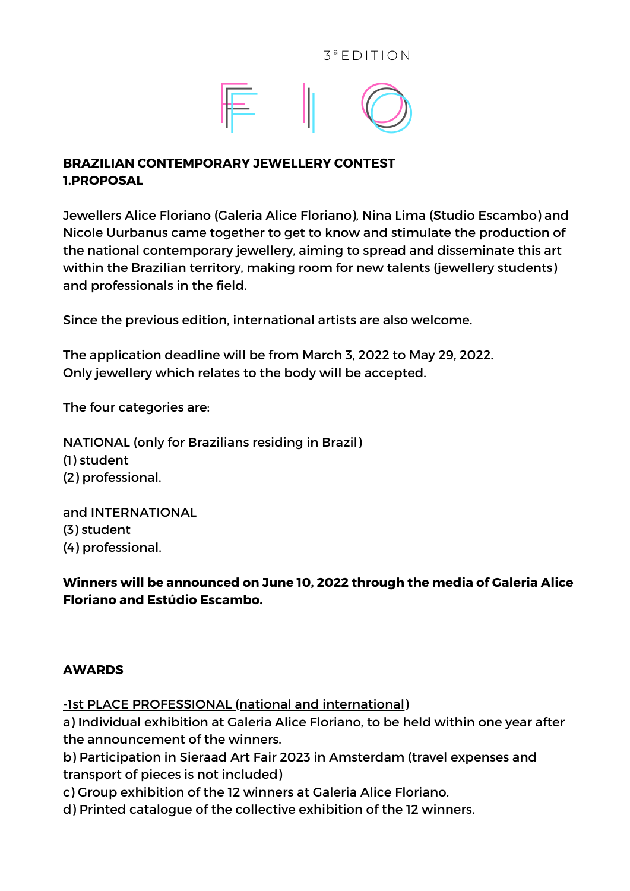

## **BRAZILIAN CONTEMPORARY JEWELLERY CONTEST 1.PROPOSAL**

Jewellers Alice Floriano (Galeria Alice Floriano), Nina Lima (Studio Escambo) and Nicole Uurbanus came together to get to know and stimulate the production of the national contemporary jewellery, aiming to spread and disseminate this art within the Brazilian territory, making room for new talents (jewellery students) and professionals in the field.

Since the previous edition, international artists are also welcome.

The application deadline will be from March 3, 2022 to May 29, 2022. Only jewellery which relates to the body will be accepted.

The four categories are:

NATIONAL (only for Brazilians residing in Brazil) (1) student (2) professional.

and INTERNATIONAL (3) student (4) professional.

**Winners will be announced on June 10, 2022 through the media of Galeria Alice Floriano and Estúdio Escambo.**

#### **AWARDS**

-1st PLACE PROFESSIONAL (national and international)

a) Individual exhibition at Galeria Alice Floriano, to be held within one year after the announcement of the winners.

b) Participation in Sieraad Art Fair 2023 in Amsterdam (travel expenses and transport of pieces is not included)

c) Group exhibition of the 12 winners at Galeria Alice Floriano.

d) Printed catalogue of the collective exhibition of the 12 winners.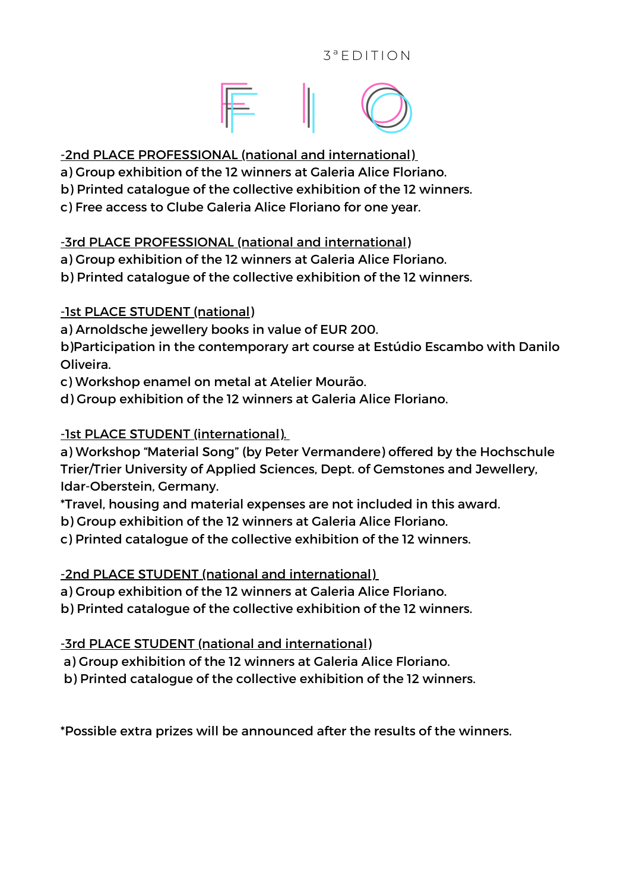## $3^a$  F D I T I O N



## -2nd PLACE PROFESSIONAL (national and international)

- a) Group exhibition of the 12 winners at Galeria Alice Floriano.
- b) Printed catalogue of the collective exhibition of the 12 winners.
- c) Free access to Clube Galeria Alice Floriano for one year.

# -3rd PLACE PROFESSIONAL (national and international)

a) Group exhibition of the 12 winners at Galeria Alice Floriano.

b) Printed catalogue of the collective exhibition of the 12 winners.

# -1st PLACE STUDENT (national)

a) Arnoldsche jewellery books in value of EUR 200.

b)Participation in the contemporary art course at Estúdio Escambo with Danilo Oliveira.

c) Workshop enamel on metal at Atelier Mourão.

d) Group exhibition of the 12 winners at Galeria Alice Floriano.

# -1st PLACE STUDENT (international).

a) Workshop "Material Song" (by Peter Vermandere) offered by the Hochschule Trier/Trier University of Applied Sciences, Dept. of Gemstones and Jewellery, Idar-Oberstein, Germany.

\*Travel, housing and material expenses are not included in this award.

b) Group exhibition of the 12 winners at Galeria Alice Floriano.

c) Printed catalogue of the collective exhibition of the 12 winners.

# -2nd PLACE STUDENT (national and international)

a) Group exhibition of the 12 winners at Galeria Alice Floriano.

b) Printed catalogue of the collective exhibition of the 12 winners.

-3rd PLACE STUDENT (national and international)

a) Group exhibition of the 12 winners at Galeria Alice Floriano.

b) Printed catalogue of the collective exhibition of the 12 winners.

\*Possible extra prizes will be announced after the results of the winners.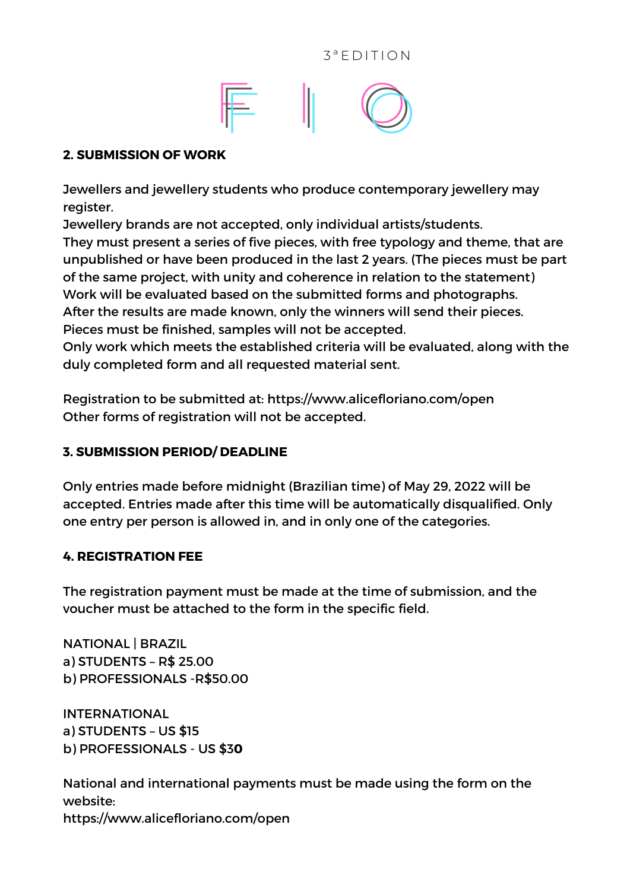



#### **2. SUBMISSION OF WORK**

Jewellers and jewellery students who produce contemporary jewellery may register.

Jewellery brands are not accepted, only individual artists/students. They must present a series of five pieces, with free typology and theme, that are unpublished or have been produced in the last 2 years. (The pieces must be part of the same project, with unity and coherence in relation to the statement) Work will be evaluated based on the submitted forms and photographs. After the results are made known, only the winners will send their pieces. Pieces must be finished, samples will not be accepted.

Only work which meets the established criteria will be evaluated, along with the duly completed form and all requested material sent.

Registration to be submitted at: <https://www.alicefloriano.com/open> Other forms of registration will not be accepted.

### **3. SUBMISSION PERIOD/ DEADLINE**

Only entries made before midnight (Brazilian time) of May 29, 2022 will be accepted. Entries made after this time will be automatically disqualified. Only one entry per person is allowed in, and in only one of the categories.

#### **4. REGISTRATION FEE**

The registration payment must be made at the time of submission, and the voucher must be attached to the form in the specific field.

NATIONAL | BRAZIL a) STUDENTS – R\$ 25.00 b) PROFESSIONALS -R\$50.00

INTERNATIONAL a) STUDENTS – US \$15 b) PROFESSIONALS - US \$3**0**

National and international payments must be made using the form on the website: https://www.alicefloriano.com/open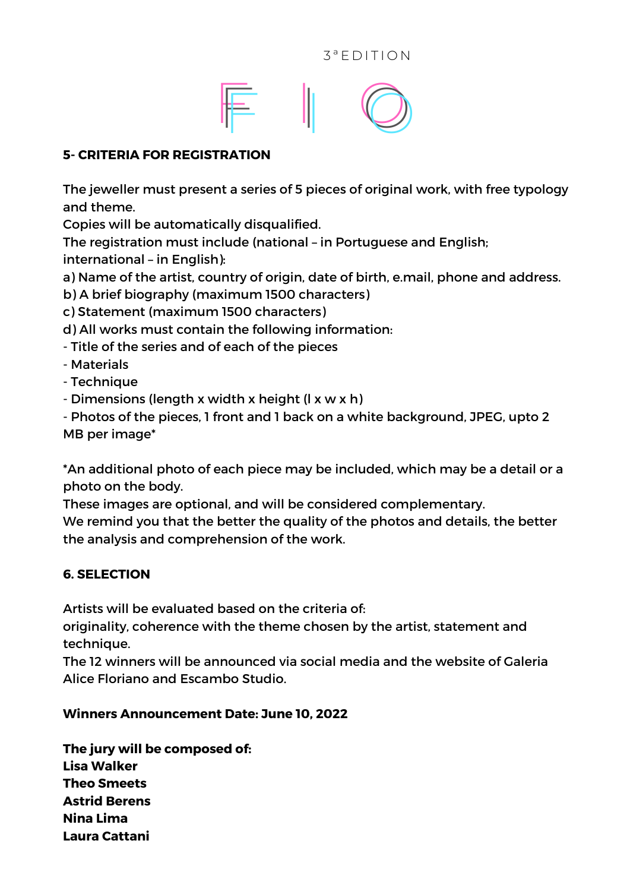

### **5- CRITERIA FOR REGISTRATION**

The jeweller must present a series of 5 pieces of original work, with free typology and theme.

Copies will be automatically disqualified.

The registration must include (national – in Portuguese and English; international – in English):

a) Name of the artist, country of origin, date of birth, e.mail, phone and address.

b) A brief biography (maximum 1500 characters)

c) Statement (maximum 1500 characters)

d) All works must contain the following information:

- Title of the series and of each of the pieces

- Materials

- Technique

- Dimensions (length x width x height (l x w x h)

- Photos of the pieces, 1 front and 1 back on a white background, JPEG, upto 2 MB per image\*

\*An additional photo of each piece may be included, which may be a detail or a photo on the body.

These images are optional, and will be considered complementary.

We remind you that the better the quality of the photos and details, the better the analysis and comprehension of the work.

### **6. SELECTION**

Artists will be evaluated based on the criteria of:

originality, coherence with the theme chosen by the artist, statement and technique.

The 12 winners will be announced via social media and the website of Galeria Alice Floriano and Escambo Studio.

### **Winners Announcement Date: June 10, 2022**

**The jury will be composed of: Lisa Walker Theo Smeets Astrid Berens Nina Lima Laura Cattani**